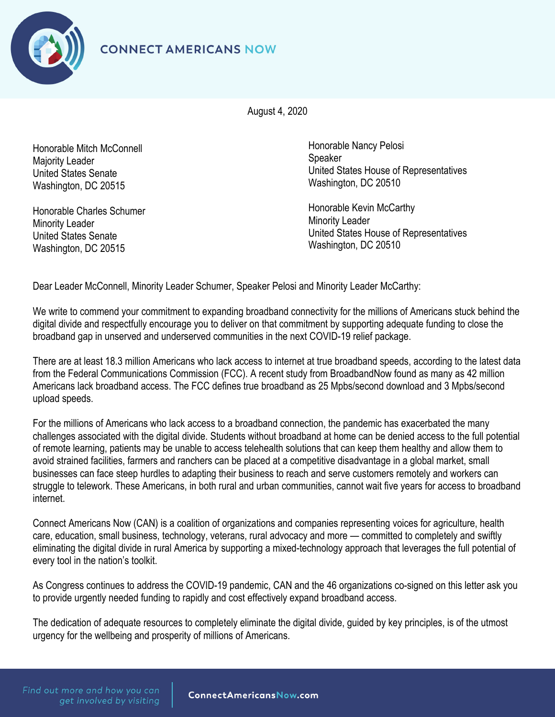



August 4, 2020

Honorable Mitch McConnell Majority Leader United States Senate Washington, DC 20515

Honorable Charles Schumer Minority Leader United States Senate Washington, DC 20515

Honorable Nancy Pelosi **Speaker** United States House of Representatives Washington, DC 20510

Honorable Kevin McCarthy Minority Leader United States House of Representatives Washington, DC 20510

Dear Leader McConnell, Minority Leader Schumer, Speaker Pelosi and Minority Leader McCarthy:

We write to commend your commitment to expanding broadband connectivity for the millions of Americans stuck behind the digital divide and respectfully encourage you to deliver on that commitment by supporting adequate funding to close the broadband gap in unserved and underserved communities in the next COVID-19 relief package.

There are at least 18.3 million Americans who lack access to internet at true broadband speeds, according to the latest data from the Federal Communications Commission (FCC). A recent study from BroadbandNow found as many as 42 million Americans lack broadband access. The FCC defines true broadband as 25 Mpbs/second download and 3 Mpbs/second upload speeds.

For the millions of Americans who lack access to a broadband connection, the pandemic has exacerbated the many challenges associated with the digital divide. Students without broadband at home can be denied access to the full potential of remote learning, patients may be unable to access telehealth solutions that can keep them healthy and allow them to avoid strained facilities, farmers and ranchers can be placed at a competitive disadvantage in a global market, small businesses can face steep hurdles to adapting their business to reach and serve customers remotely and workers can struggle to telework. These Americans, in both rural and urban communities, cannot wait five years for access to broadband internet.

Connect Americans Now (CAN) is a coalition of organizations and companies representing voices for agriculture, health care, education, small business, technology, veterans, rural advocacy and more — committed to completely and swiftly eliminating the digital divide in rural America by supporting a mixed-technology approach that leverages the full potential of every tool in the nation's toolkit.

As Congress continues to address the COVID-19 pandemic, CAN and the 46 organizations co-signed on this letter ask you to provide urgently needed funding to rapidly and cost effectively expand broadband access.

The dedication of adequate resources to completely eliminate the digital divide, guided by key principles, is of the utmost urgency for the wellbeing and prosperity of millions of Americans.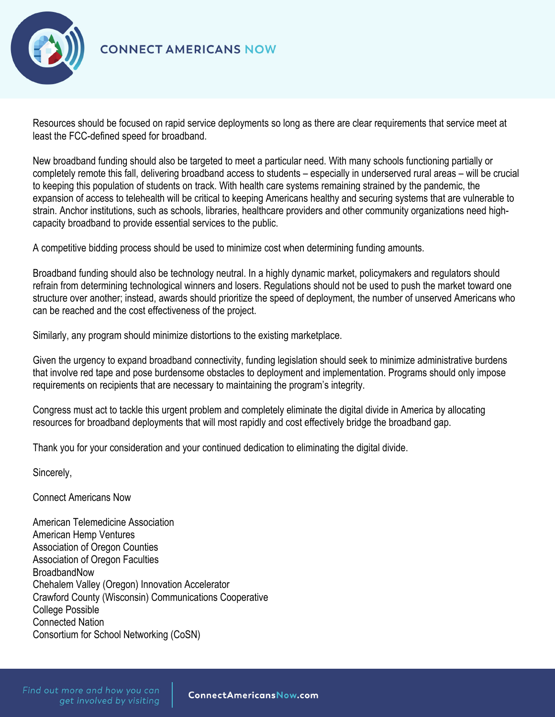

## **CONNECT AMERICANS NOW**

Resources should be focused on rapid service deployments so long as there are clear requirements that service meet at least the FCC-defined speed for broadband.

New broadband funding should also be targeted to meet a particular need. With many schools functioning partially or completely remote this fall, delivering broadband access to students – especially in underserved rural areas – will be crucial to keeping this population of students on track. With health care systems remaining strained by the pandemic, the expansion of access to telehealth will be critical to keeping Americans healthy and securing systems that are vulnerable to strain. Anchor institutions, such as schools, libraries, healthcare providers and other community organizations need highcapacity broadband to provide essential services to the public.

A competitive bidding process should be used to minimize cost when determining funding amounts.

Broadband funding should also be technology neutral. In a highly dynamic market, policymakers and regulators should refrain from determining technological winners and losers. Regulations should not be used to push the market toward one structure over another; instead, awards should prioritize the speed of deployment, the number of unserved Americans who can be reached and the cost effectiveness of the project.

Similarly, any program should minimize distortions to the existing marketplace.

Given the urgency to expand broadband connectivity, funding legislation should seek to minimize administrative burdens that involve red tape and pose burdensome obstacles to deployment and implementation. Programs should only impose requirements on recipients that are necessary to maintaining the program's integrity.

Congress must act to tackle this urgent problem and completely eliminate the digital divide in America by allocating resources for broadband deployments that will most rapidly and cost effectively bridge the broadband gap.

Thank you for your consideration and your continued dedication to eliminating the digital divide.

Sincerely,

Connect Americans Now

American Telemedicine Association American Hemp Ventures Association of Oregon Counties Association of Oregon Faculties BroadbandNow Chehalem Valley (Oregon) Innovation Accelerator Crawford County (Wisconsin) Communications Cooperative College Possible Connected Nation Consortium for School Networking (CoSN)